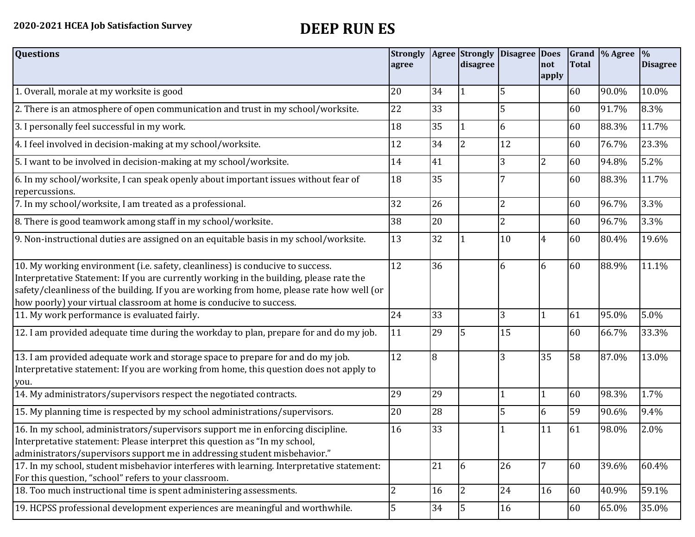| <b>Questions</b>                                                                                                                                                                                                                                                                                                                               | <b>Strongly</b><br>agree |    | disagree       | Agree Strongly Disagree Does | not<br>apply   | <b>Total</b> | Grand  % Agree | $\frac{9}{6}$<br><b>Disagree</b> |
|------------------------------------------------------------------------------------------------------------------------------------------------------------------------------------------------------------------------------------------------------------------------------------------------------------------------------------------------|--------------------------|----|----------------|------------------------------|----------------|--------------|----------------|----------------------------------|
| 1. Overall, morale at my worksite is good                                                                                                                                                                                                                                                                                                      | 20                       | 34 |                | 5                            |                | 60           | 90.0%          | 10.0%                            |
| 2. There is an atmosphere of open communication and trust in my school/worksite.                                                                                                                                                                                                                                                               | 22                       | 33 |                | 5                            |                | 60           | 91.7%          | 8.3%                             |
| 3. I personally feel successful in my work.                                                                                                                                                                                                                                                                                                    | 18                       | 35 |                | 6                            |                | 60           | 88.3%          | 11.7%                            |
| 4. I feel involved in decision-making at my school/worksite.                                                                                                                                                                                                                                                                                   | 12                       | 34 | $\overline{2}$ | 12                           |                | 60           | 76.7%          | 23.3%                            |
| 5. I want to be involved in decision-making at my school/worksite.                                                                                                                                                                                                                                                                             | 14                       | 41 |                | $\overline{3}$               | $\overline{2}$ | 60           | 94.8%          | 5.2%                             |
| 6. In my school/worksite, I can speak openly about important issues without fear of<br>repercussions.                                                                                                                                                                                                                                          | 18                       | 35 |                |                              |                | 60           | 88.3%          | 11.7%                            |
| 7. In my school/worksite, I am treated as a professional.                                                                                                                                                                                                                                                                                      | 32                       | 26 |                | $\overline{2}$               |                | 60           | 96.7%          | 3.3%                             |
| 8. There is good teamwork among staff in my school/worksite.                                                                                                                                                                                                                                                                                   | 38                       | 20 |                | 2                            |                | 60           | 96.7%          | 3.3%                             |
| 9. Non-instructional duties are assigned on an equitable basis in my school/worksite.                                                                                                                                                                                                                                                          | 13                       | 32 |                | 10                           | 4              | 60           | 80.4%          | 19.6%                            |
| 10. My working environment (i.e. safety, cleanliness) is conducive to success.<br>Interpretative Statement: If you are currently working in the building, please rate the<br>safety/cleanliness of the building. If you are working from home, please rate how well (or<br>how poorly) your virtual classroom at home is conducive to success. | 12                       | 36 |                | 6                            | 6              | 60           | 88.9%          | 11.1%                            |
| 11. My work performance is evaluated fairly.                                                                                                                                                                                                                                                                                                   | 24                       | 33 |                | 3                            |                | 61           | 95.0%          | 5.0%                             |
| 12. I am provided adequate time during the workday to plan, prepare for and do my job.                                                                                                                                                                                                                                                         | 11                       | 29 | 5              | 15                           |                | 60           | 66.7%          | 33.3%                            |
| 13. I am provided adequate work and storage space to prepare for and do my job.<br>Interpretative statement: If you are working from home, this question does not apply to<br>you.                                                                                                                                                             | 12                       | 8  |                | 3                            | 35             | 58           | 87.0%          | 13.0%                            |
| 14. My administrators/supervisors respect the negotiated contracts.                                                                                                                                                                                                                                                                            | 29                       | 29 |                |                              | 1              | 60           | 98.3%          | 1.7%                             |
| 15. My planning time is respected by my school administrations/supervisors.                                                                                                                                                                                                                                                                    | 20                       | 28 |                | 5                            | 6              | 59           | 90.6%          | 9.4%                             |
| 16. In my school, administrators/supervisors support me in enforcing discipline.<br>Interpretative statement: Please interpret this question as "In my school,<br>administrators/supervisors support me in addressing student misbehavior."                                                                                                    | 16                       | 33 |                |                              | 11             | 61           | 98.0%          | 2.0%                             |
| 17. In my school, student misbehavior interferes with learning. Interpretative statement:<br>For this question, "school" refers to your classroom.                                                                                                                                                                                             |                          | 21 | 6              | 26                           | 7              | 60           | 39.6%          | 60.4%                            |
| 18. Too much instructional time is spent administering assessments.                                                                                                                                                                                                                                                                            | $\overline{2}$           | 16 | 2              | 24                           | 16             | 60           | 40.9%          | 59.1%                            |
| 19. HCPSS professional development experiences are meaningful and worthwhile.                                                                                                                                                                                                                                                                  | 5                        | 34 | 5              | 16                           |                | 60           | 65.0%          | 35.0%                            |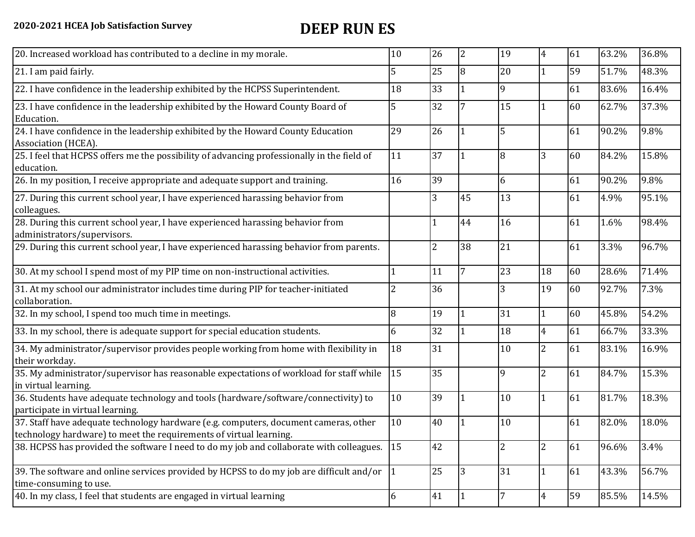| 10                                                                                       | 26              | 2               | 19 | $\overline{4}$ | 61 | 63.2% | 36.8% |
|------------------------------------------------------------------------------------------|-----------------|-----------------|----|----------------|----|-------|-------|
| 5                                                                                        | 25              | 8               | 20 | $\mathbf{1}$   | 59 | 51.7% | 48.3% |
| 18                                                                                       | 33              |                 | 9  |                | 61 | 83.6% | 16.4% |
| 5                                                                                        | 32              |                 | 15 | $\mathbf{1}$   | 60 | 62.7% | 37.3% |
| 29                                                                                       | 26              |                 | 5  |                | 61 | 90.2% | 9.8%  |
| 11                                                                                       | 37              |                 | 8  | 3              | 60 | 84.2% | 15.8% |
| 16                                                                                       | 39              |                 | 6  |                | 61 | 90.2% | 9.8%  |
|                                                                                          | 3               | 45              | 13 |                | 61 | 4.9%  | 95.1% |
|                                                                                          |                 | 44              | 16 |                | 61 | 1.6%  | 98.4% |
|                                                                                          | $\overline{2}$  | 38              | 21 |                | 61 | 3.3%  | 96.7% |
|                                                                                          | 11              | $7\overline{ }$ | 23 | 18             | 60 | 28.6% | 71.4% |
| 2                                                                                        | 36              |                 | 3  | 19             | 60 | 92.7% | 7.3%  |
| 8                                                                                        | 19              |                 | 31 | $\mathbf{1}$   | 60 | 45.8% | 54.2% |
| 6                                                                                        | 32              |                 | 18 | $\overline{4}$ | 61 | 66.7% | 33.3% |
| 18                                                                                       | 31              |                 | 10 | $\mathbf{2}$   | 61 | 83.1% | 16.9% |
| 15                                                                                       | 35              |                 | 9  | $\overline{2}$ | 61 | 84.7% | 15.3% |
| 10                                                                                       | 39              |                 | 10 | $\mathbf{1}$   | 61 | 81.7% | 18.3% |
| 10                                                                                       | 40              |                 | 10 |                | 61 | 82.0% | 18.0% |
| <sup>15</sup>                                                                            | 42              |                 |    | $\overline{2}$ | 61 | 96.6% | 3.4%  |
|                                                                                          | $\overline{25}$ | 3               | 31 | $\mathbf{1}$   | 61 | 43.3% | 56.7% |
| 6                                                                                        | 41              |                 |    | $\overline{4}$ | 59 | 85.5% | 14.5% |
| 39. The software and online services provided by HCPSS to do my job are difficult and/or | $ 1\rangle$     |                 |    |                |    |       |       |